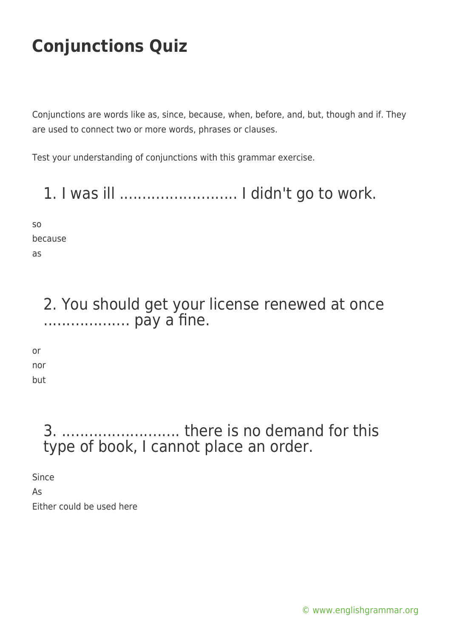Conjunctions are words like as, since, because, when, before, and, but, though and if. They are used to connect two or more words, phrases or clauses.

Test your understanding of conjunctions with this grammar exercise.

1. I was ill .......................... I didn't go to work.

so because as

> 2. You should get your license renewed at once ................... pay a fine.

or nor but

### 3. .......................... there is no demand for this type of book, I cannot place an order.

Since

As Either could be used here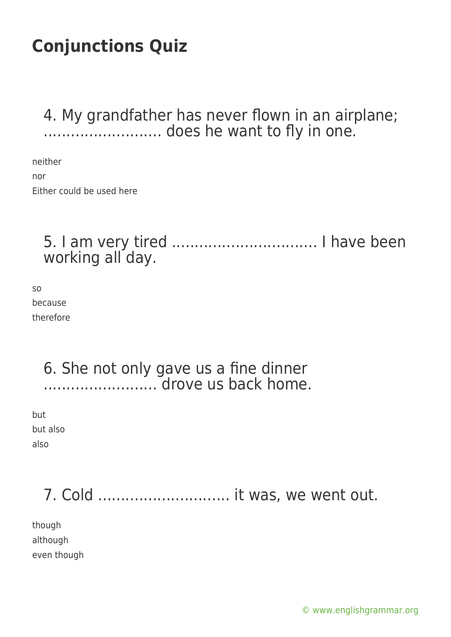4. My grandfather has never flown in an airplane; .......................... does he want to fly in one.

neither nor Either could be used here

### 5. I am very tired ................................ I have been working all day.

so because therefore

#### 6. She not only gave us a fine dinner ......................... drove us back home.

but but also also

### 7. Cold ............................. it was, we went out.

though although even though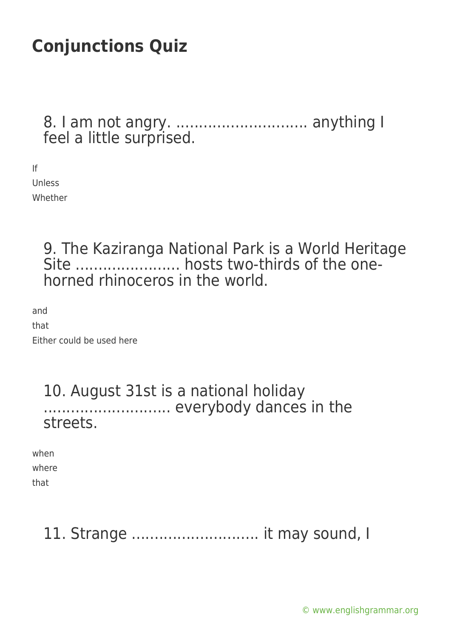8. I am not angry. ............................. anything I feel a little surprised.

If Unless Whether

> 9. The Kaziranga National Park is a World Heritage Site ............................. hosts two-thirds of the onehorned rhinoceros in the world.

and that Either could be used here

#### 10. August 31st is a national holiday ................................ everybody dances in the streets.

| when  |  |
|-------|--|
| where |  |
| that  |  |

### 11. Strange ............................ it may sound, I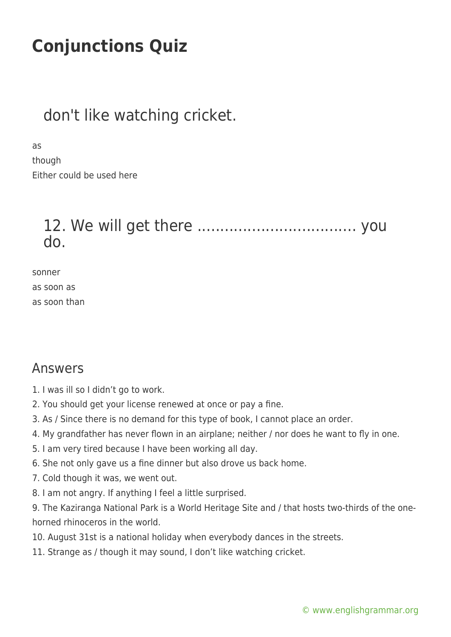### don't like watching cricket.

as

though Either could be used here

### 12. We will get there ................................... you do.

sonner as soon as as soon than

#### Answers

1. I was ill so I didn't go to work.

- 2. You should get your license renewed at once or pay a fine.
- 3. As / Since there is no demand for this type of book, I cannot place an order.
- 4. My grandfather has never flown in an airplane; neither / nor does he want to fly in one.
- 5. I am very tired because I have been working all day.
- 6. She not only gave us a fine dinner but also drove us back home.
- 7. Cold though it was, we went out.
- 8. I am not angry. If anything I feel a little surprised.

9. The Kaziranga National Park is a World Heritage Site and / that hosts two-thirds of the onehorned rhinoceros in the world.

- 10. August 31st is a national holiday when everybody dances in the streets.
- 11. Strange as / though it may sound, I don't like watching cricket.